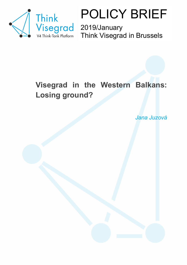

POLICY BRIEF

2019/January Think Visegrad in Brussels

### **Visegrad in the Western Balkans: Losing ground?**

*Jana Juzová*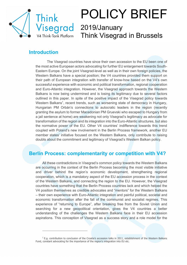

# POLICY BRIEF

2019/January Think Visegrad in Brussels

#### **Introduction**

 $\overline{a}$ 

The Visegrad countries have since their own accession to the EU been one of the most active European actors advocating for further EU enlargement towards South-Eastern Europe. On the joint Visegrad-level as well as in their own foreign policies, the Western Balkans have a special position; the V4 countries provided them support on their path of European integration with transfer of know-how based on the V4's own successful experience with economic and political transformation, regional cooperation and Euro-Atlantic integration. However, the Visegrad approach towards the Western Balkans is now being undermined and is losing its legitimacy due to several factors outlined in this paper. In spite of the positive impact of the Visegrad policy towards Western Balkans<sup>1</sup>, recent trends, such as worsening state of democracy in Hungary, Hungarian PM Orbán's connections to autocratic leaders in the region (recently granting the asylum to former Macedonian PM Gruevski who escaped to Hungary from a jail sentence at home) are weakening not only Visegrad's legitimacy as advocate for transformation of the region and its integration into the Euro-Atlantic structures, but also the normative power of the EU. Other V4 countries' indifference towards this trend coupled with Poland's new involvement in the Berlin Process framework, another EU member states' initiative focused on the Western Balkans, only contribute to raising doubts about the commitment and legitimacy of Visegrad's Western Balkan policy.

#### **Berlin Process: complementarity or competition with V4?**

All these contradictions in Visegrad's common policy towards the Western Balkans are occurring in the context of the Berlin Process becoming the most visible initiative and driver behind the region's economic development, strengthening regional cooperation, which is a mandatory aspect of the EU accession process in the context of the Western Balkans, and connecting the region to the EU. However, the Visegrad countries have something that the Berlin Process countries lack and which helped the V4 position themselves as credible advocates and "mentors" for the Western Balkans – their own experience with Euro-Atlantic integration and painful political, societal and economic transformation after the fall of the communist and socialist regimes. This experience of "returning to Europe", after breaking free from the Soviet Union and searching for a new geopolitical orientation, gives the V4 countries a better understanding of the challenges the Western Balkans face in their EU accession aspirations. This conception of Visegrad as a success story and a role model for the

 $<sup>1</sup>$  E.g. contribution to conclusion of the Croatia's accession talks in 2011, establishment of the Western Balkans</sup> Fund, constant advocating for the importance of the region's integration into EU etc.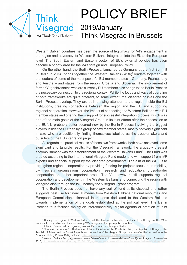

 $\overline{a}$ 

### POLICY BRIEF 2019/January Think Visegrad in Brussels

Western Balkan countries has been the source of legitimacy for V4's engagement in the region and advocacy for Western Balkans' integration into the EU at the European level. The South-Eastern and Eastern vector<sup>2</sup> of EU's external policies has even become a priority area for the V4's foreign and European Policy.

On the other hand, the Berlin Process, launched by Germany at the first Summit in Berlin in 2014, brings together the Western Balkans (WB6)<sup>3</sup> leaders together with the leaders of some of the most powerful EU member states – Germany, France, Italy and Austria – and states from the region, Croatia and Slovenia. The involvement of former Yugoslav states who are currently EU members also brings to the Berlin Process the necessary connection to the regional context. While the focus and ways of operating of both frameworks are quite different, to some extent, the Visegrad policies and the Berlin Process overlap. They are both drawing attention to the region inside the EU institutions, creating connections between the region and the EU and supporting regional cooperation. However, the impact of connecting the Western Balkans with EU member states and offering them support for successful integration process, which was one of the main goals of the Visegrad Group in its joint efforts after their accession to the  $EU<sup>4</sup>$ , is probably better secured now by the Berlin Process involving the biggest players inside the EU than by a group of new member states, mostly not very significant in size who are additionally finding themselves labelled as the troublemakers and outsiders of the EU integration project.

As regards the practical results of these two frameworks, both have achieved some significant and tangible results. For the Visegrad framework, the arguably greatest accomplishment was the establishment of the Western Balkans Fund<sup>5</sup>. The Fund was created according to the International Visegrad Fund model and with support from IVF experts and financial support by the Visegrad governments. The aim of the WBF is to strengthen regional cooperation by providing funding for projects focused on mobility, civil society organizations cooperation, research and education, cross-border cooperation and other important areas. The V4, however, still supports regional cooperation and development in the Western Balkans and connecting the region with Visegrad also through the IVF, namely the Visegrad+ grant program.

The Berlin Process does not have any sort of fund at its disposal and rather suggests best use for financial means from Western Balkans national resources and European Commission's financial instruments dedicated to the Western Balkans towards implementation of the goals established at the political level. The Berlin Process thus focuses mainly on interconnectivity, digital agenda or creation of joint

<sup>5</sup> Western Balkans Fund, Agreement on the Establishment of Western Balkans Fund Signed, Prague, 13 November 2015, http://west

<sup>&</sup>lt;sup>2</sup> Namely the region of Western Balkans and the Eastern Partnership countries. In both regions the V4 is traditionally very active and they are among V4's foreign and European policy priorities.

<sup>3</sup> Albania, Bosnia and Herzegovina, Kosovo, Macedonia, Montenegro, Serbia

<sup>4</sup> "Kromeriz declaration" - Declaration of Prime Ministers of the Czech Republic, the Republic of Hungary, the Republic of Poland and the Slovak Republic on cooperation of the Visegrad Group countries after their accession to the European Union, 12 May 2004, online at: http://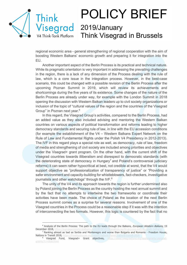

 $\overline{a}$ 

### POLICY BRIEF 2019/January Think Visegrad in Brussels

regional economic area - general strengthening of regional cooperation with the aim of boosting Western Balkans' economic growth and preparing it for integration into the EU.

Another important aspect of the Berlin Process is its practical and technical nature. While its pragmatic orientation is very important in addressing the prevailing challenges in the region, there is a lack of any dimension of the Process dealing with the rule of law, which is a core issue in the integration process. However, in the best-case scenario, this could be changed with a possible revision of the Berlin Process after the upcoming Poznan Summit in 2019, which will review its achievements and shortcomings during the five years of its existence. Some changes of the nature of the Berlin Process are already under way, for example with the London Summit in 2018 opening the discussion with Western Balkan leaders up to civil society organizations or inclusion of the topic of "cultural values of the region and the countries of the Visegrad Group" in Poznan next year.<sup>6</sup>

In this regard, the Visegrad Group's activities, compared to the Berlin Process, had an added value as they also included advising and mentoring the Western Balkan countries on various aspects of political transformation and reforms leading to higher democracy standards and securing rule of law, in line with the EU accession conditions (for example the establishment of the V4 – Western Balkans Expert Network on the Rule of Law and Fundamental Rights under the Polish V4 Presidency in 2012-2013). The IVF in this regard plays a special role as well, as democracy, rule of law, freedom of media and strengthening of civil society are included among priorities and objectives under the Visegrad+ grant program. On the other hand, with the current shift of the Visegrad countries towards illiberalism and disrespect to democratic standards (with the deteriorating state of democracy in Hungary<sup>7</sup> and Poland's controversial judiciary reforms) it can seem rather hypocritical at best, not credible at worst, that the V4 would support objective as "professionalization of transparency of justice" or "Providing a safer environment and capacity-building for whistleblowers, fact-checkers, investigative journalists and other watchdogs" through the IVF.<sup>8</sup>

The unity of the V4 and its approach towards the region is further undermined also by Poland joining the Berlin Process as the country hosting the next annual summit and by the fact that no attempts to intertwine the two frameworks or coordinate their activities have been made. The choice of Poland as the location of the next Berlin Process summit comes as a surprise for several reasons. Involvement of one of the Visegrad countries in the Process could be a reasonable step if it was with the intention of interconnecting the two formats. However, this logic is countered by the fact that no

<sup>&</sup>lt;sup>6</sup> Analysis of the Berlin Process: The path to the EU leads through the Balkans, *European Western Balkans*, 19 December 2018, https://europeanwesternb <sup>7</sup> Ranking almost as bad as Serbia and Montenegro and worse than Bulgaria and Romania - Freedom House,

Nations in Transit 2018, https://freedomhouse.org/report/nations-transit/nations-tran

<sup>8</sup> Visegrad Fund, Visegrad+ Grant objectives, https://www.visegradfund.org/apply/grants grants/?c=objectives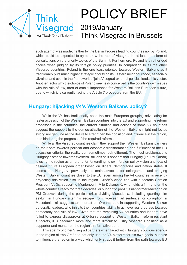

## POLICY BRIEF 2019/January Think Visegrad in Brussels

such attempt was made, neither by the Berlin Process leading countries nor by Poland, which could be expected to try to draw the rest of Visegrad in, at least in a form of consultations on the priority topics of the Summit. Furthermore, Poland is a rather odd choice when judging by its foreign policy priorities. In comparison to all the other Visegrad countries, Poland is the one least oriented towards Western Balkans as it traditionally puts much higher strategic priority on its Eastern neighbourhood, especially Ukraine, and even in the framework of joint Visegrad external policies leads this vector. Another factor why the choice of Poland seems ill-conceived is the country's own issues with the rule of law, area of crucial importance for Western Balkans European future, due to which it is currently facing the Article 7 procedure from the EU.

#### **Hungary: hijacking V4's Western Balkans policy?**

While the V4 has traditionally been the main European grouping advocating for faster accession of the Western Balkan countries into the EU and supporting the reform processes in the countries, the current situation and actions of some V4 countries suggest the support to the democratization of the Western Balkans might not be as strong nor genuine as the desire to strengthen their position and influence in the region, thus hindering the progress of the required reforms.

While all the Visegrad countries claim they support their Western Balkans partners on their path towards political and economic transformation and fulfilment of the EU accession criteria, the reality can sometimes look different. The most problematic is Hungary's stance towards Western Balkans as it appears that Hungary (i.e. PM Orbán) is using the region as an arena for forwarding its own foreign policy vision and idea of desired future European order based on illiberal democracies and nation states. It seems that Hungary, previously the main advocate for enlargement and bringing Western Balkan countries closer to the EU, even among the V4 countries, is recently projecting this vision also to the region. Orbán's close ties with autocratic Serbian President Vučić, support to Montenegrin Milo Dukanović, who holds a firm grip on the whole country already for three decades, or support to pro-Russian former Macedonian PM Gruevski during the political crisis dividing Macedonia, including granting him asylum in Hungary after his escape from two-year jail sentence for corruption in Macedonia; all suggests an interest on Orbán's part in supporting Western Balkan autocratic leaders, who inhibits their countries' ability to achieve real progress towards democracy and rule of law. Given that the remaining V4 countries and leaders have failed to express disapproval at Orban's support of Western Balkan reform-resistant autocrats, it is becoming more and more difficult to justify Visegrad's position as a supporter and mentor on the region's reformative path.

This apathy of other Visegrad partners when faced with Hungary's obvious agenda in the region allows Orbán to not only use the V4 platform for his own goals, but also to influence the region in a way which only strays it further from the path towards EU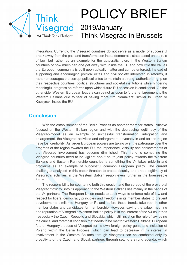

## POLICY BRIEF 2019/January Think Visegrad in Brussels

integration. Currently, the Visegrad countries do not serve as a model of successful break-away from the past and transformation into a democratic state based on the rule of law, but rather as an example for the autocratic rulers in the Western Balkan countries of how much can one get away with inside the EU and how little the values the European community is built upon actually matter and can be enforced. Instead of supporting and encouraging political elites and civil society interested in reforms, it rather encourages the corrupt political elites to maintain a strong, authoritarian grip on their respective countries' political structures and societal institutions while hindering meaningful progress on reforms upon which future EU accession is conditional. On the other side, Western European leaders can be not as open to further enlargement to the Western Balkans due to fear of having more "troublemakers" similar to Orbán or Kaczyński inside the EU.

#### **Conclusion**

With the establishment of the Berlin Process as another member states' initiative focused on the Western Balkan region and with the decreasing legitimacy of the Visegrad-model as an example of successful transformation, integration and enlargement, the Visegrad activities and enlargement advocacy in and for the region have lost credibility. As larger European powers are taking over the patronage over the progress of the region towards the EU, the importance, visibility and achievements of the Visegrad involvement has become diminished. This trend is something the Visegrad countries need to be vigilant about as its joint policy towards the Western Balkans and Eastern Partnership countries is something the V4 takes pride in and proclaims as an example of successful common European policy. The current challenges analysed in this paper threaten to create disunity and erode legitimacy of Visegrad's activities in the Western Balkan region even further in the foreseeable future.

The responsibility for countering both this erosion and the spread of the proverbial Visegrad "toxicity" into its approach to the Western Balkans lies mainly in the hands of the V4 partners. The European Union needs to seek ways to enforce rule of law and respect for liberal democracy principles and freedoms in its member states to prevent developments similar to Hungary or Poland before these trends take root in other member states and candidates for membership. However, saving the value, meaning and reputation of Visegrad's Western Balkan policy is in the interest of the V4 countries - especially the Czech Republic and Slovakia, which still insist on the rule of law being the crucial and foremost condition that needs to be met for Western Balkans' European future. Hungary's abuse of Visegrad for its own foreign policy goals and inclusion of Poland within the Berlin Process (which can lead to decrease in its interest in involvement in the Western Balkans through Visegrad) can be combated only by proactivity of the Czech and Slovak partners through setting a strong agenda, which